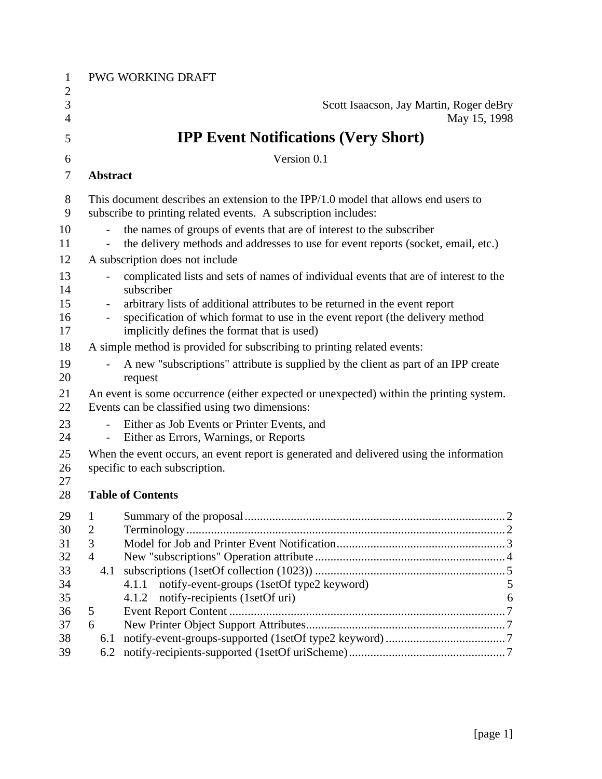| 1                 |                                                                                                                                           | PWG WORKING DRAFT                                                                                                                                            |   |
|-------------------|-------------------------------------------------------------------------------------------------------------------------------------------|--------------------------------------------------------------------------------------------------------------------------------------------------------------|---|
| $\mathbf{2}$<br>3 |                                                                                                                                           | Scott Isaacson, Jay Martin, Roger deBry                                                                                                                      |   |
| $\overline{4}$    |                                                                                                                                           | May 15, 1998                                                                                                                                                 |   |
| 5                 |                                                                                                                                           | <b>IPP Event Notifications (Very Short)</b>                                                                                                                  |   |
| 6                 |                                                                                                                                           | Version 0.1                                                                                                                                                  |   |
| $\tau$            | <b>Abstract</b>                                                                                                                           |                                                                                                                                                              |   |
| 8<br>9            |                                                                                                                                           | This document describes an extension to the IPP/1.0 model that allows end users to<br>subscribe to printing related events. A subscription includes:         |   |
| 10                |                                                                                                                                           | the names of groups of events that are of interest to the subscriber                                                                                         |   |
| 11                |                                                                                                                                           | the delivery methods and addresses to use for event reports (socket, email, etc.)                                                                            |   |
| 12                |                                                                                                                                           | A subscription does not include                                                                                                                              |   |
| 13<br>14          | $\overline{\phantom{0}}$                                                                                                                  | complicated lists and sets of names of individual events that are of interest to the<br>subscriber                                                           |   |
| 15<br>16          | $\qquad \qquad -$<br>$\overline{\phantom{0}}$                                                                                             | arbitrary lists of additional attributes to be returned in the event report<br>specification of which format to use in the event report (the delivery method |   |
| 17                |                                                                                                                                           | implicitly defines the format that is used)                                                                                                                  |   |
| 18                |                                                                                                                                           | A simple method is provided for subscribing to printing related events:                                                                                      |   |
| 19<br>20          |                                                                                                                                           | A new "subscriptions" attribute is supplied by the client as part of an IPP create<br>request                                                                |   |
| 21<br>22          | An event is some occurrence (either expected or unexpected) within the printing system.<br>Events can be classified using two dimensions: |                                                                                                                                                              |   |
| 23<br>24          |                                                                                                                                           | Either as Job Events or Printer Events, and<br>Either as Errors, Warnings, or Reports                                                                        |   |
| 25<br>26<br>27    |                                                                                                                                           | When the event occurs, an event report is generated and delivered using the information<br>specific to each subscription.                                    |   |
| 28                |                                                                                                                                           | <b>Table of Contents</b>                                                                                                                                     |   |
| 29                | $\mathbf{1}$                                                                                                                              |                                                                                                                                                              |   |
| 30                | $\overline{2}$                                                                                                                            |                                                                                                                                                              |   |
| 31                | 3                                                                                                                                         |                                                                                                                                                              |   |
| 32                | $\overline{4}$                                                                                                                            |                                                                                                                                                              |   |
| 33                | 4.1                                                                                                                                       |                                                                                                                                                              |   |
| 34                |                                                                                                                                           | notify-event-groups (1setOf type2 keyword)<br>4.1.1                                                                                                          | 5 |
| 35                |                                                                                                                                           | notify-recipients (1setOf uri)<br>4.1.2                                                                                                                      | 6 |
| 36                | 5                                                                                                                                         |                                                                                                                                                              |   |
| 37                | 6                                                                                                                                         |                                                                                                                                                              |   |
| 38                | 6.1                                                                                                                                       |                                                                                                                                                              |   |
| 39                | 6.2                                                                                                                                       |                                                                                                                                                              |   |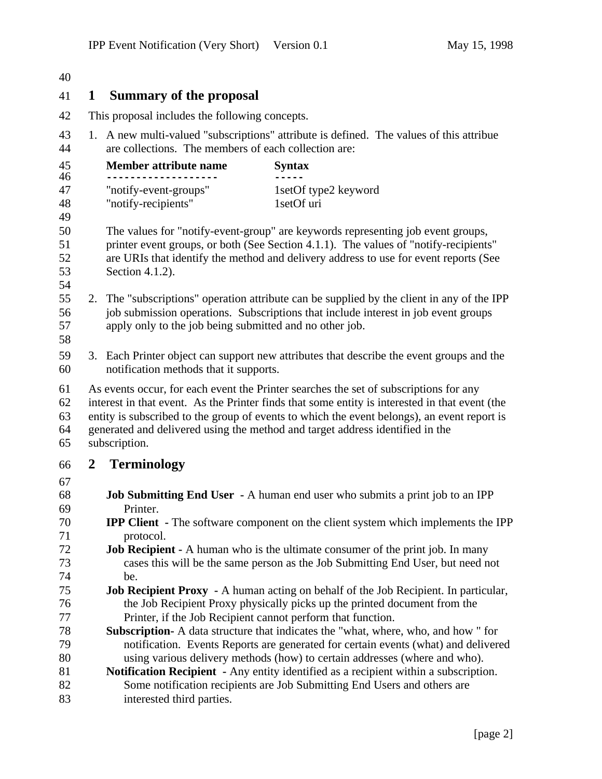| 40                                                   |              |                                                                                                                                                                                                                                                                                                                                                                                          |                                                                                                                                                                                                                                                                                                                                      |  |  |  |
|------------------------------------------------------|--------------|------------------------------------------------------------------------------------------------------------------------------------------------------------------------------------------------------------------------------------------------------------------------------------------------------------------------------------------------------------------------------------------|--------------------------------------------------------------------------------------------------------------------------------------------------------------------------------------------------------------------------------------------------------------------------------------------------------------------------------------|--|--|--|
| 41                                                   | 1            | <b>Summary of the proposal</b>                                                                                                                                                                                                                                                                                                                                                           |                                                                                                                                                                                                                                                                                                                                      |  |  |  |
| 42<br>This proposal includes the following concepts. |              |                                                                                                                                                                                                                                                                                                                                                                                          |                                                                                                                                                                                                                                                                                                                                      |  |  |  |
| 43<br>44                                             |              | 1. A new multi-valued "subscriptions" attribute is defined. The values of this attribue<br>are collections. The members of each collection are:                                                                                                                                                                                                                                          |                                                                                                                                                                                                                                                                                                                                      |  |  |  |
| 45<br>46                                             |              | Member attribute name                                                                                                                                                                                                                                                                                                                                                                    | <b>Syntax</b>                                                                                                                                                                                                                                                                                                                        |  |  |  |
| 47<br>48<br>49                                       |              | "notify-event-groups"<br>"notify-recipients"                                                                                                                                                                                                                                                                                                                                             | 1setOf type2 keyword<br>1setOf uri                                                                                                                                                                                                                                                                                                   |  |  |  |
| 50<br>51<br>52<br>53<br>54                           |              | The values for "notify-event-group" are keywords representing job event groups,<br>printer event groups, or both (See Section 4.1.1). The values of "notify-recipients"<br>are URIs that identify the method and delivery address to use for event reports (See<br>Section 4.1.2).                                                                                                       |                                                                                                                                                                                                                                                                                                                                      |  |  |  |
| 55<br>56<br>57<br>58                                 |              | apply only to the job being submitted and no other job.                                                                                                                                                                                                                                                                                                                                  | 2. The "subscriptions" operation attribute can be supplied by the client in any of the IPP<br>job submission operations. Subscriptions that include interest in job event groups                                                                                                                                                     |  |  |  |
| 59<br>60                                             |              | notification methods that it supports.                                                                                                                                                                                                                                                                                                                                                   | 3. Each Printer object can support new attributes that describe the event groups and the                                                                                                                                                                                                                                             |  |  |  |
| 61<br>62<br>63<br>64<br>65                           |              | As events occur, for each event the Printer searches the set of subscriptions for any<br>interest in that event. As the Printer finds that some entity is interested in that event (the<br>entity is subscribed to the group of events to which the event belongs), an event report is<br>generated and delivered using the method and target address identified in the<br>subscription. |                                                                                                                                                                                                                                                                                                                                      |  |  |  |
| 66                                                   | $\mathbf{2}$ | <b>Terminology</b>                                                                                                                                                                                                                                                                                                                                                                       |                                                                                                                                                                                                                                                                                                                                      |  |  |  |
| 67<br>68<br>69<br>70                                 |              | Printer.                                                                                                                                                                                                                                                                                                                                                                                 | <b>Job Submitting End User - A human end user who submits a print job to an IPP</b><br><b>IPP Client</b> - The software component on the client system which implements the IPP                                                                                                                                                      |  |  |  |
| 71<br>72<br>73<br>74                                 |              | protocol.<br>be.                                                                                                                                                                                                                                                                                                                                                                         | <b>Job Recipient -</b> A human who is the ultimate consumer of the print job. In many<br>cases this will be the same person as the Job Submitting End User, but need not                                                                                                                                                             |  |  |  |
| 75<br>76<br>77<br>78                                 |              | Printer, if the Job Recipient cannot perform that function.                                                                                                                                                                                                                                                                                                                              | <b>Job Recipient Proxy</b> - A human acting on behalf of the Job Recipient. In particular,<br>the Job Recipient Proxy physically picks up the printed document from the<br>Subscription- A data structure that indicates the "what, where, who, and how " for                                                                        |  |  |  |
| 79<br>80<br>81<br>82<br>83                           |              | interested third parties.                                                                                                                                                                                                                                                                                                                                                                | notification. Events Reports are generated for certain events (what) and delivered<br>using various delivery methods (how) to certain addresses (where and who).<br>Notification Recipient - Any entity identified as a recipient within a subscription.<br>Some notification recipients are Job Submitting End Users and others are |  |  |  |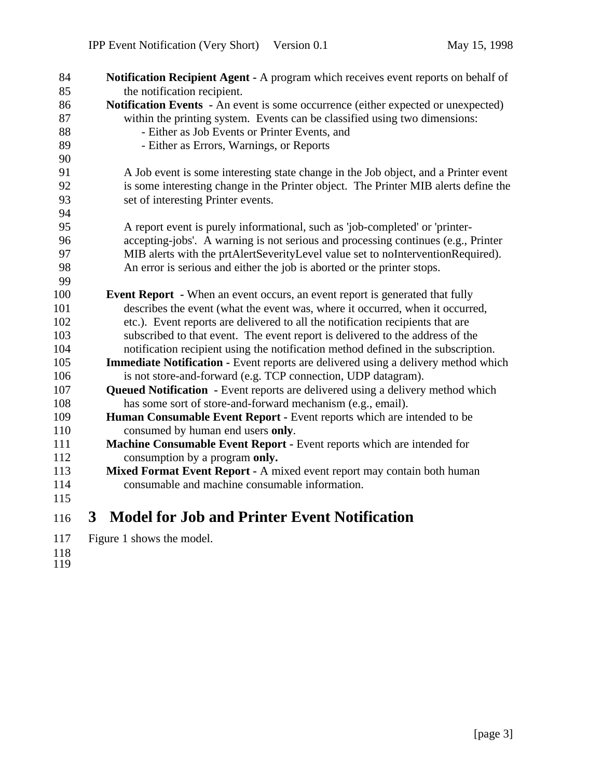| 84  | Notification Recipient Agent - A program which receives event reports on behalf of        |
|-----|-------------------------------------------------------------------------------------------|
| 85  | the notification recipient.                                                               |
| 86  | <b>Notification Events</b> - An event is some occurrence (either expected or unexpected)  |
| 87  | within the printing system. Events can be classified using two dimensions:                |
| 88  | - Either as Job Events or Printer Events, and                                             |
| 89  | - Either as Errors, Warnings, or Reports                                                  |
| 90  |                                                                                           |
| 91  | A Job event is some interesting state change in the Job object, and a Printer event       |
| 92  | is some interesting change in the Printer object. The Printer MIB alerts define the       |
| 93  | set of interesting Printer events.                                                        |
| 94  |                                                                                           |
| 95  | A report event is purely informational, such as 'job-completed' or 'printer-              |
| 96  | accepting-jobs'. A warning is not serious and processing continues (e.g., Printer         |
| 97  | MIB alerts with the prtAlertSeverityLevel value set to noInterventionRequired).           |
| 98  | An error is serious and either the job is aborted or the printer stops.                   |
| 99  |                                                                                           |
| 100 | <b>Event Report</b> - When an event occurs, an event report is generated that fully       |
| 101 | describes the event (what the event was, where it occurred, when it occurred,             |
| 102 | etc.). Event reports are delivered to all the notification recipients that are            |
| 103 | subscribed to that event. The event report is delivered to the address of the             |
| 104 | notification recipient using the notification method defined in the subscription.         |
| 105 | <b>Immediate Notification - Event reports are delivered using a delivery method which</b> |
| 106 | is not store-and-forward (e.g. TCP connection, UDP datagram).                             |
| 107 | <b>Queued Notification</b> - Event reports are delivered using a delivery method which    |
| 108 | has some sort of store-and-forward mechanism (e.g., email).                               |
| 109 | Human Consumable Event Report - Event reports which are intended to be                    |
| 110 | consumed by human end users only.                                                         |
| 111 | Machine Consumable Event Report - Event reports which are intended for                    |
| 112 | consumption by a program only.                                                            |
| 113 | Mixed Format Event Report - A mixed event report may contain both human                   |
| 114 | consumable and machine consumable information.                                            |
| 115 |                                                                                           |
| 116 | <b>Model for Job and Printer Event Notification</b><br>3 <sup>1</sup>                     |
| 117 | Figure 1 shows the model.                                                                 |
|     |                                                                                           |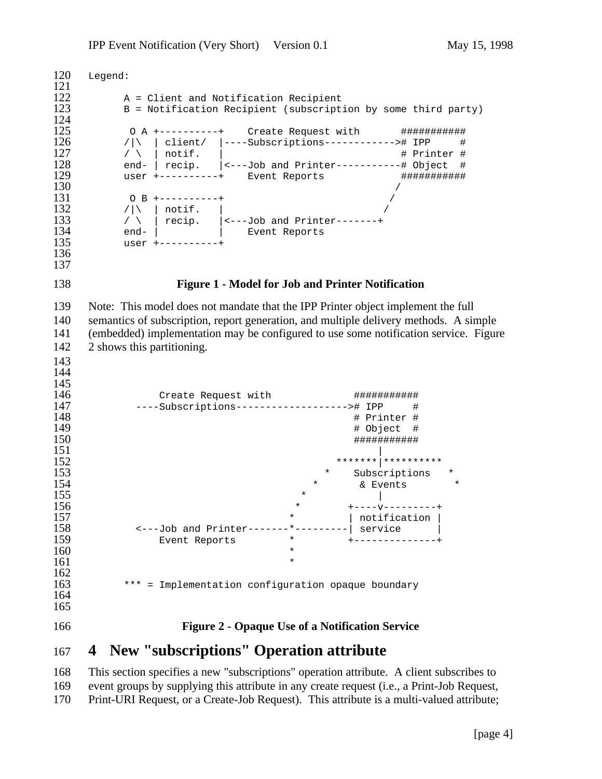```
120 Legend:
\frac{121}{122}122 A = Client and Notification Recipient
         B = Notification Recipient (subscription by some third party)
\frac{124}{125}125 O A +----------+ Create Request with #############<br>126 / | | client/ |----Subscriptions-----------># IPP #
126 /|\ | client/ |----Subscriptions-----------># IPP #<br>127 / \ | notif. |
127 / \ | notif. | \qquad # Printer #
128 end- | recip. | (---Job and Printer-----------# Object #
129 user +----------+ Event Reports *********************
130 /
131 O B +----------+<br>132 / | notif. |
132 /|\ | notif. |<br>133 / | recip. |<--
133 / \setminus | recip. | \leftarrow---Job and Printer-------+
134 end- | | Event Reports
135 user +----------+
136
137
138 Figure 1 - Model for Job and Printer Notification
139 Note: This model does not mandate that the IPP Printer object implement the full
140 semantics of subscription, report generation, and multiple delivery methods. A simple
141 (embedded) implementation may be configured to use some notification service. Figure
142 2 shows this partitioning.
143
144
145<br>146
146 Create Request with ###########
147 ----Subscriptions-------------------># IPP #
148 # Printer #
149 # Object #
150 ###########
151 |
152 *******|**********
153 * Subscriptions * Subscriptions * Subscriptions * Subscriptions * Subscriptions * \kappa Events *
154 * & Events 155
155 * |
156 * * +----v---------+<br>157 * | notification |
157 \vert 157 \vert 158 \vert ---Job and Printer-------*--------| service
158 <---Job and Printer-------*---------| service |
159 Event Reports * * * +-------------+
160 *
161 *
\frac{162}{163}*** = Implementation configuration opaque boundary
164
165
166 Figure 2 - Opaque Use of a Notification Service
167 4 New "subscriptions" Operation attribute
```
 This section specifies a new "subscriptions" operation attribute. A client subscribes to event groups by supplying this attribute in any create request (i.e., a Print-Job Request, Print-URI Request, or a Create-Job Request). This attribute is a multi-valued attribute;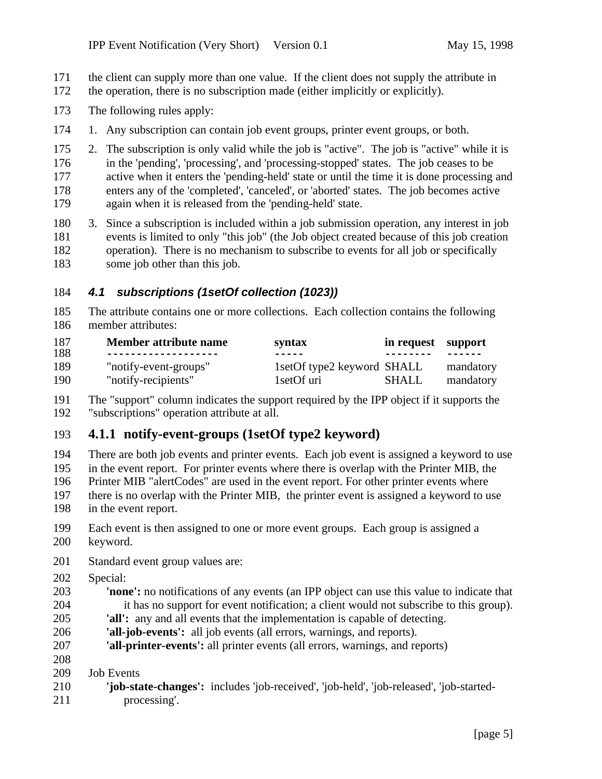- the client can supply more than one value. If the client does not supply the attribute in
- the operation, there is no subscription made (either implicitly or explicitly).
- The following rules apply:
- 1. Any subscription can contain job event groups, printer event groups, or both.
- 2. The subscription is only valid while the job is "active". The job is "active" while it is in the 'pending', 'processing', and 'processing-stopped' states. The job ceases to be active when it enters the 'pending-held' state or until the time it is done processing and enters any of the 'completed', 'canceled', or 'aborted' states. The job becomes active again when it is released from the 'pending-held' state.
- 3. Since a subscription is included within a job submission operation, any interest in job events is limited to only "this job" (the Job object created because of this job creation operation). There is no mechanism to subscribe to events for all job or specifically some job other than this job.

#### *4.1 subscriptions (1setOf collection (1023))*

 The attribute contains one or more collections. Each collection contains the following member attributes:

| 187<br>188 | Member attribute name<br>-------------------- | syntax<br>-----              | in request support |           |
|------------|-----------------------------------------------|------------------------------|--------------------|-----------|
| 189        | "notify-event-groups"                         | 1set Of type 2 keyword SHALL |                    | mandatory |
| 190        | "notify-recipients"                           | 1 set Of uri                 | SHALL              | mandatory |

 The "support" column indicates the support required by the IPP object if it supports the "subscriptions" operation attribute at all.

# **4.1.1 notify-event-groups (1setOf type2 keyword)**

- There are both job events and printer events. Each job event is assigned a keyword to use in the event report. For printer events where there is overlap with the Printer MIB, the Printer MIB "alertCodes" are used in the event report. For other printer events where there is no overlap with the Printer MIB, the printer event is assigned a keyword to use in the event report.
- Each event is then assigned to one or more event groups. Each group is assigned a keyword.
- Standard event group values are:
- Special:
- **'none':** no notifications of any events (an IPP object can use this value to indicate that it has no support for event notification; a client would not subscribe to this group).
- **'all':** any and all events that the implementation is capable of detecting.
- **'all-job-events':** all job events (all errors, warnings, and reports).
- **'all-printer-events':** all printer events (all errors, warnings, and reports)
- Job Events
- **'job-state-changes':** includes 'job-received', 'job-held', 'job-released', 'job-started-processing'.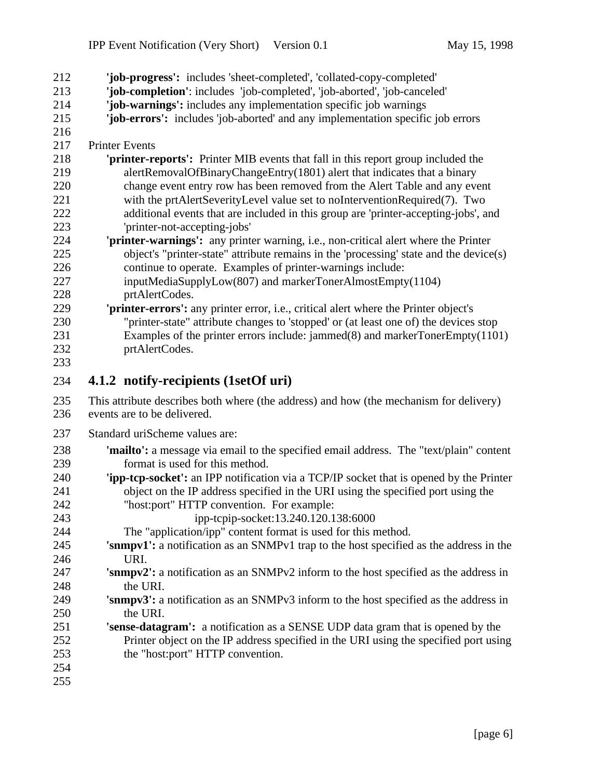| 212        | 'job-progress': includes 'sheet-completed', 'collated-copy-completed'                                  |
|------------|--------------------------------------------------------------------------------------------------------|
| 213        | 'job-completion': includes 'job-completed', 'job-aborted', 'job-canceled'                              |
| 214        | 'job-warnings': includes any implementation specific job warnings                                      |
| 215        | 'job-errors': includes 'job-aborted' and any implementation specific job errors                        |
| 216        |                                                                                                        |
| 217        | <b>Printer Events</b>                                                                                  |
| 218        | <b>printer-reports':</b> Printer MIB events that fall in this report group included the                |
| 219        | alertRemovalOfBinaryChangeEntry(1801) alert that indicates that a binary                               |
| 220        | change event entry row has been removed from the Alert Table and any event                             |
| 221        | with the prtAlertSeverityLevel value set to noInterventionRequired(7). Two                             |
| 222        | additional events that are included in this group are 'printer-accepting-jobs', and                    |
| 223        | 'printer-not-accepting-jobs'                                                                           |
| 224        | 'printer-warnings': any printer warning, i.e., non-critical alert where the Printer                    |
| 225        | object's "printer-state" attribute remains in the 'processing' state and the device(s)                 |
| 226<br>227 | continue to operate. Examples of printer-warnings include:                                             |
| 228        | inputMediaSupplyLow(807) and markerTonerAlmostEmpty(1104)                                              |
| 229        | prtAlertCodes.<br>'printer-errors': any printer error, i.e., critical alert where the Printer object's |
| 230        | "printer-state" attribute changes to 'stopped' or (at least one of) the devices stop                   |
| 231        | Examples of the printer errors include: jammed $(8)$ and markerTonerEmpty $(1101)$                     |
| 232        | prtAlertCodes.                                                                                         |
| 233        |                                                                                                        |
| 234        | 4.1.2 notify-recipients (1setOf uri)                                                                   |
| 235        | This attribute describes both where (the address) and how (the mechanism for delivery)                 |
| 236        | events are to be delivered.                                                                            |
|            |                                                                                                        |
| 237        | Standard uriScheme values are:                                                                         |
| 238        | 'mailto': a message via email to the specified email address. The "text/plain" content                 |
| 239        | format is used for this method.                                                                        |
| 240        | <b>'ipp-tcp-socket':</b> an IPP notification via a TCP/IP socket that is opened by the Printer         |
| 241        | object on the IP address specified in the URI using the specified port using the                       |
| 242        | "host:port" HTTP convention. For example:                                                              |
| 243<br>244 | ipp-tcpip-socket:13.240.120.138:6000<br>The "application/ipp" content format is used for this method.  |
| 245        | 'snmpv1': a notification as an SNMPv1 trap to the host specified as the address in the                 |
| 246        | URI.                                                                                                   |
| 247        | 'snmpv2': a notification as an SNMPv2 inform to the host specified as the address in                   |
| 248        | the URI.                                                                                               |
| 249        | 'snmpv3': a notification as an SNMPv3 inform to the host specified as the address in                   |
| 250        | the URI.                                                                                               |
| 251        | <b>'sense-datagram':</b> a notification as a SENSE UDP data gram that is opened by the                 |
| 252        | Printer object on the IP address specified in the URI using the specified port using                   |
| 253        | the "host:port" HTTP convention.                                                                       |
| 254        |                                                                                                        |
| 255        |                                                                                                        |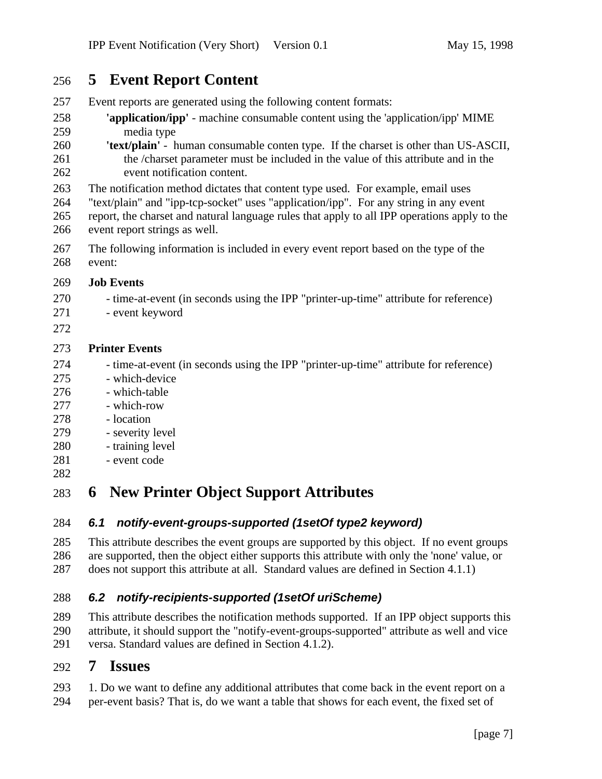# **5 Event Report Content**

- Event reports are generated using the following content formats:
- **'application/ipp'** machine consumable content using the 'application/ipp' MIME media type
- **'text/plain'** human consumable conten type. If the charset is other than US-ASCII, the /charset parameter must be included in the value of this attribute and in the event notification content.
- The notification method dictates that content type used. For example, email uses
- "text/plain" and "ipp-tcp-socket" uses "application/ipp". For any string in any event
- report, the charset and natural language rules that apply to all IPP operations apply to the event report strings as well.
- The following information is included in every event report based on the type of the event:

#### **Job Events**

- time-at-event (in seconds using the IPP "printer-up-time" attribute for reference)
- event keyword
- 

#### **Printer Events**

- time-at-event (in seconds using the IPP "printer-up-time" attribute for reference)
- which-device
- which-table
- 277 which-row
- 278 location
- severity level
- training level
- event code
- 

# **6 New Printer Object Support Attributes**

## *6.1 notify-event-groups-supported (1setOf type2 keyword)*

 This attribute describes the event groups are supported by this object. If no event groups are supported, then the object either supports this attribute with only the 'none' value, or does not support this attribute at all. Standard values are defined in Section 4.1.1)

## *6.2 notify-recipients-supported (1setOf uriScheme)*

 This attribute describes the notification methods supported. If an IPP object supports this 290 attribute, it should support the "notify-event-groups-supported" attribute as well and vice<br>291 versa. Standard values are defined in Section 4.1.2). versa. Standard values are defined in Section 4.1.2).

## **7 Issues**

- 1. Do we want to define any additional attributes that come back in the event report on a
- per-event basis? That is, do we want a table that shows for each event, the fixed set of